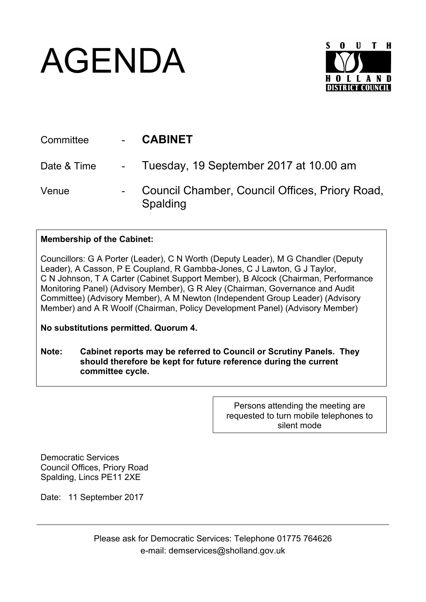## AGENDA



| Committee   | <b>CABINET</b>                                             |
|-------------|------------------------------------------------------------|
| Date & Time | - Tuesday, 19 September 2017 at 10.00 am                   |
| Venue       | Council Chamber, Council Offices, Priory Road,<br>Spalding |

## **Membership of the Cabinet:**

Councillors: G A Porter (Leader), C N Worth (Deputy Leader), M G Chandler (Deputy Leader), A Casson, P E Coupland, R Gambba-Jones, C J Lawton, G J Taylor, C N Johnson, T A Carter (Cabinet Support Member), B Alcock (Chairman, Performance Monitoring Panel) (Advisory Member), G R Aley (Chairman, Governance and Audit Committee) (Advisory Member), A M Newton (Independent Group Leader) (Advisory Member) and A R Woolf (Chairman, Policy Development Panel) (Advisory Member)

**No substitutions permitted. Quorum 4.**

**Note: Cabinet reports may be referred to Council or Scrutiny Panels. They should therefore be kept for future reference during the current committee cycle.** 

> Persons attending the meeting are requested to turn mobile telephones to silent mode

Democratic Services Council Offices, Priory Road Spalding, Lincs PE11 2XE

Date: 11 September 2017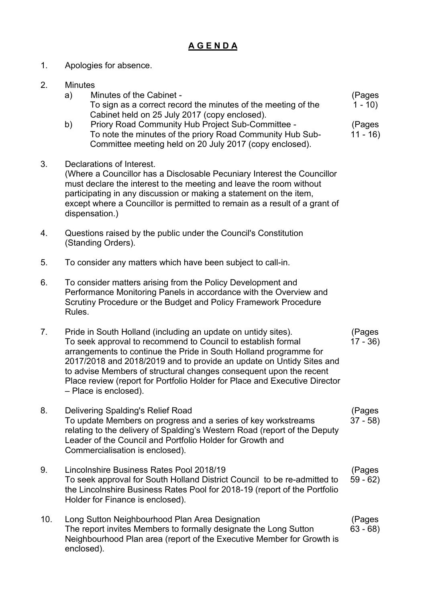## **A G E N D A**

(Pages  $1 - 10$ 

(Pages  $11 - 16$ 

- 1. Apologies for absence.
- 2. Minutes a) Minutes of the Cabinet - To sign as a correct record the minutes of the meeting of the Cabinet held on 25 July 2017 (copy enclosed). b) Priory Road Community Hub Project Sub-Committee - To note the minutes of the priory Road Community Hub Sub-Committee meeting held on 20 July 2017 (copy enclosed). 3. Declarations of Interest. (Where a Councillor has a Disclosable Pecuniary Interest the Councillor must declare the interest to the meeting and leave the room without participating in any discussion or making a statement on the item, except where a Councillor is permitted to remain as a result of a grant of dispensation.) 4. Questions raised by the public under the Council's Constitution (Standing Orders). 5. To consider any matters which have been subject to call-in. 6. To consider matters arising from the Policy Development and Performance Monitoring Panels in accordance with the Overview and Scrutiny Procedure or the Budget and Policy Framework Procedure Rules. 7. Pride in South Holland (including an update on untidy sites).
- To seek approval to recommend to Council to establish formal arrangements to continue the Pride in South Holland programme for 2017/2018 and 2018/2019 and to provide an update on Untidy Sites and to advise Members of structural changes consequent upon the recent Place review (report for Portfolio Holder for Place and Executive Director – Place is enclosed). (Pages 17 - 36)
- 8. Delivering Spalding's Relief Road To update Members on progress and a series of key workstreams relating to the delivery of Spalding's Western Road (report of the Deputy Leader of the Council and Portfolio Holder for Growth and Commercialisation is enclosed). (Pages 37 - 58)
- 9. Lincolnshire Business Rates Pool 2018/19 To seek approval for South Holland District Council to be re-admitted to the Lincolnshire Business Rates Pool for 2018-19 (report of the Portfolio Holder for Finance is enclosed). (Pages 59 - 62)
- 10. Long Sutton Neighbourhood Plan Area Designation The report invites Members to formally designate the Long Sutton Neighbourhood Plan area (report of the Executive Member for Growth is enclosed). (Pages 63 - 68)